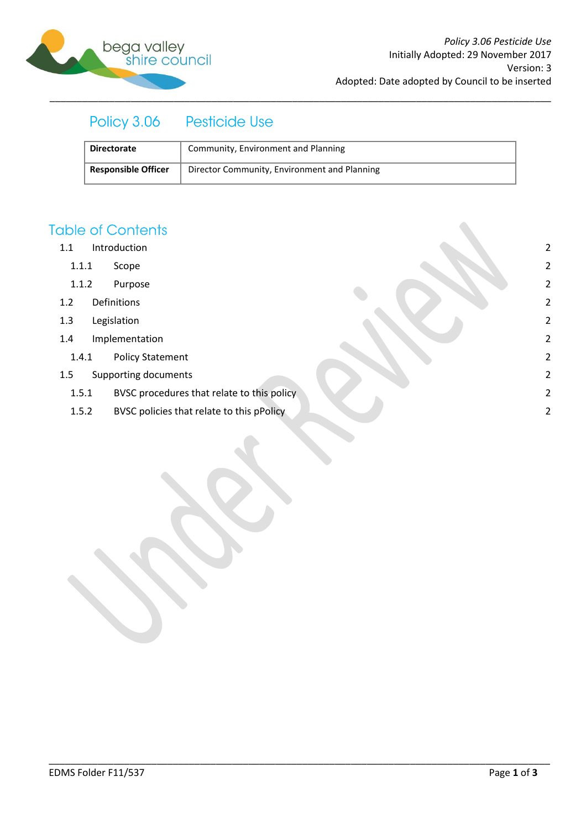

#### Policy 3.06 **Pesticide Use**

| <b>Directorate</b>         | Community, Environment and Planning          |
|----------------------------|----------------------------------------------|
| <b>Responsible Officer</b> | Director Community, Environment and Planning |

\_\_\_\_\_\_\_\_\_\_\_\_\_\_\_\_\_\_\_\_\_\_\_\_\_\_\_\_\_\_\_\_\_\_\_\_\_\_\_\_\_\_\_\_\_\_\_\_\_\_\_\_\_\_\_\_\_\_\_\_\_\_\_\_\_\_\_\_\_\_\_\_\_\_\_\_\_\_\_\_\_\_\_\_\_\_\_\_\_\_\_\_\_

## **Table of Contents**

- 1.1 [Introduction](#page-1-0) 2
	- 1.1.1 [Scope](#page-1-1) 2
	- 1.1.2 [Purpose](#page-1-2) 2
- 1.2 [Definitions](#page-1-3) 2
- 1.3 [Legislation](#page-1-4) 2
- 1.4 [Implementation](#page-1-5) 2
	- 1.4.1 [Policy Statement](#page-1-6) 2
- 1.5 [Supporting documents](#page-1-7) 2
	- 1.5.1 [BVSC procedures that relate to this policy](#page-1-8) 2
	- 1.5.2 [BVSC policies that relate to this pPolicy](#page-1-9) 2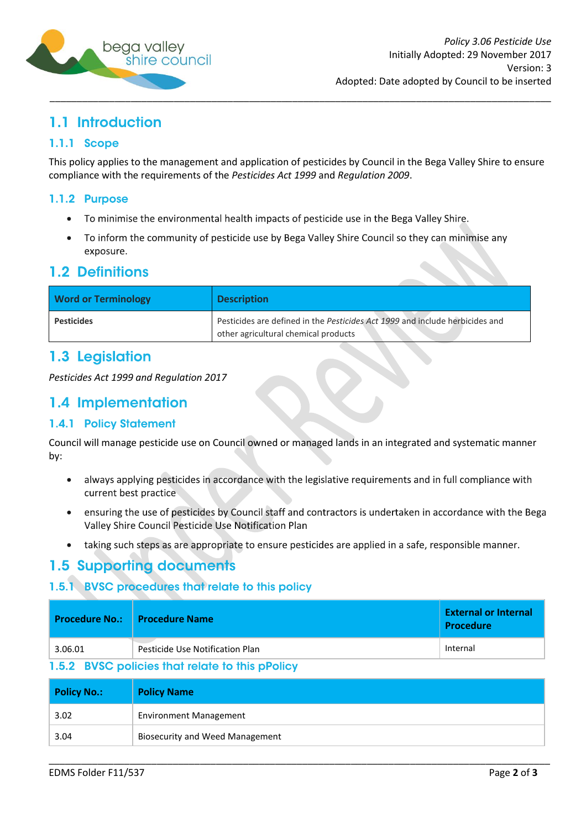

# <span id="page-1-0"></span>1.1 Introduction

#### <span id="page-1-1"></span>1.1.1 Scope

This policy applies to the management and application of pesticides by Council in the Bega Valley Shire to ensure compliance with the requirements of the *Pesticides Act 1999* and *Regulation 2009*.

#### <span id="page-1-2"></span>1.1.2 Purpose

- To minimise the environmental health impacts of pesticide use in the Bega Valley Shire.  $\bullet$
- To inform the community of pesticide use by Bega Valley Shire Council so they can minimise any  $\bullet$ exposure.

#### <span id="page-1-3"></span>**1.2 Definitions**

| <b>Word or Terminology</b> | <b>Description</b>                                                                                                   |
|----------------------------|----------------------------------------------------------------------------------------------------------------------|
| <b>Pesticides</b>          | Pesticides are defined in the Pesticides Act 1999 and include herbicides and<br>other agricultural chemical products |

### <span id="page-1-4"></span>1.3 Legislation

*Pesticides Act 1999 and Regulation 2017*

## <span id="page-1-5"></span>1.4 Implementation

#### <span id="page-1-6"></span>**1.4.1 Policy Statement**

Council will manage pesticide use on Council owned or managed lands in an integrated and systematic manner by:

- always applying pesticides in accordance with the legislative requirements and in full compliance with  $\bullet$ current best practice
- ensuring the use of pesticides by Council staff and contractors is undertaken in accordance with the Bega  $\bullet$ Valley Shire Council Pesticide Use Notification Plan
- taking such steps as are appropriate to ensure pesticides are applied in a safe, responsible manner.

## <span id="page-1-7"></span>1.5 Supporting documents

## <span id="page-1-8"></span>1.5.1 BVSC procedures that relate to this policy

|         | Procedure No.: I Procedure Name | <b>External or Internal</b><br><b>Procedure</b> |
|---------|---------------------------------|-------------------------------------------------|
| 3.06.01 | Pesticide Use Notification Plan | Internal                                        |

#### <span id="page-1-9"></span>1.5.2 BVSC policies that relate to this pPolicy

| <b>Policy No.:</b> | <b>Policy Name</b>                     |
|--------------------|----------------------------------------|
| 3.02               | <b>Environment Management</b>          |
| 3.04               | <b>Biosecurity and Weed Management</b> |

\_\_\_\_\_\_\_\_\_\_\_\_\_\_\_\_\_\_\_\_\_\_\_\_\_\_\_\_\_\_\_\_\_\_\_\_\_\_\_\_\_\_\_\_\_\_\_\_\_\_\_\_\_\_\_\_\_\_\_\_\_\_\_\_\_\_\_\_\_\_\_\_\_\_\_\_\_\_\_\_\_\_\_\_\_\_\_\_\_\_\_\_\_